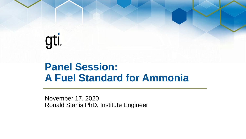# gti

## **Panel Session: A Fuel Standard for Ammonia**

November 17, 2020 Ronald Stanis PhD, Institute Engineer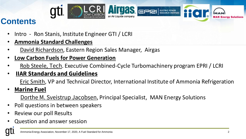

#### **Contents**

- Intro Ron Stanis, Institute Engineer GTI / LCRI
- **Ammonia Standard Challenges**
- David Richardson, Eastern Region Sales Manager, Airgas
- **Low Carbon Fuels for Power Generation**
- Rob Steele, Tech. Executive Combined-Cycle Turbomachinery program EPRI / LCRI
- **IIAR Standards and Guidelines**

Eric Smith, VP and Technical Director, International Institute of Ammonia Refrigeration

• **Marine Fuel** 

Dorthe M. Sveistrup Jacobsen, Principal Specialist, MAN Energy Solutions

- Poll questions in between speakers
- Review our poll Results
- Question and answer session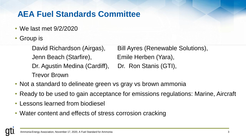#### **AEA Fuel Standards Committee**

- We last met 9/2/2020
- Group is

Jenn Beach (Starfire), Emile Herben (Yara), Dr. Agustin Medina (Cardiff), Dr. Ron Stanis (GTI), Trevor Brown

David Richardson (Airgas), Bill Ayres (Renewable Solutions),

- Not a standard to delineate green vs gray vs brown ammonia
- Ready to be used to gain acceptance for emissions regulations: Marine, Aircraft
- Lessons learned from biodiesel
- Water content and effects of stress corrosion cracking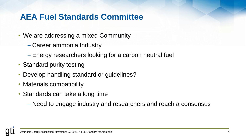#### **AEA Fuel Standards Committee**

- We are addressing a mixed Community
	- Career ammonia Industry
	- Energy researchers looking for a carbon neutral fuel
- Standard purity testing
- Develop handling standard or guidelines?
- Materials compatibility
- Standards can take a long time
	- Need to engage industry and researchers and reach a consensus

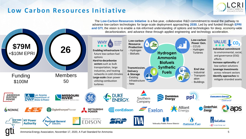#### **Low Carbon Resources Initiative**





Ammonia Energy Association, November 17, 2020, A Fuel Standard for Ammonia 5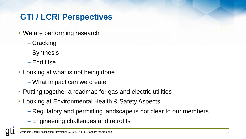### **GTI / LCRI Perspectives**

- We are performing research
	- Cracking
	- Synthesis
	- End Use
- Looking at what is not being done
	- What impact can we create
- Putting together a roadmap for gas and electric utilities
- Looking at Environmental Health & Safety Aspects
	- Regulatory and permitting landscape is not clear to our members
	- Engineering challenges and retrofits